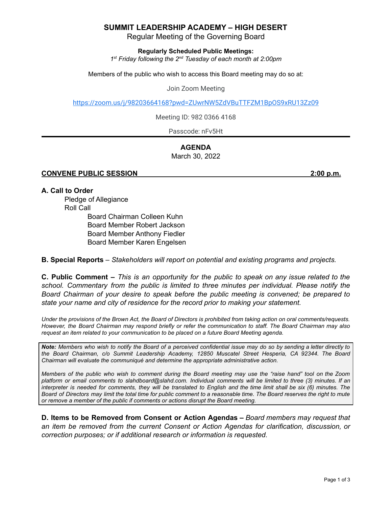## **SUMMIT LEADERSHIP ACADEMY – HIGH DESERT**

Regular Meeting of the Governing Board

**Regularly Scheduled Public Meetings:**

*1 st Friday following the 2 nd Tuesday of each month at 2:00pm*

Members of the public who wish to access this Board meeting may do so at:

Join Zoom Meeting

<https://zoom.us/j/98203664168?pwd=ZUwrNW5ZdVBuTTFZM1BpOS9xRU13Zz09>

Meeting ID: 982 0366 4168

Passcode: nFv5Ht

### **AGENDA** March 30, 2022

#### **CONVENE PUBLIC SESSION 2:00 p.m.**

#### **A. Call to Order**

Pledge of Allegiance Roll Call

Board Chairman Colleen Kuhn Board Member Robert Jackson Board Member Anthony Fiedler Board Member Karen Engelsen

**B. Special Reports** *– Stakeholders will report on potential and existing programs and projects.*

**C. Public Comment –** This is an opportunity for the public to speak on any issue related to the *school. Commentary from the public is limited to three minutes per individual. Please notify the Board Chairman of your desire to speak before the public meeting is convened; be prepared to state your name and city of residence for the record prior to making your statement.*

Under the provisions of the Brown Act, the Board of Directors is prohibited from taking action on oral comments/requests. However, the Board Chairman may respond briefly or refer the communication to staff. The Board Chairman may also *request an item related to your communication to be placed on a future Board Meeting agenda.*

Note: Members who wish to notify the Board of a perceived confidential issue may do so by sending a letter directly to *the Board Chairman, c/o Summit Leadership Academy, 12850 Muscatel Street Hesperia, CA 92344. The Board Chairman will evaluate the communiqué and determine the appropriate administrative action.*

Members of the public who wish to comment during the Board meeting may use the "raise hand" tool on the Zoom platform or email comments to slahdboard@slahd.com. Individual comments will be limited to three (3) minutes. If an interpreter is needed for comments, they will be translated to English and the time limit shall be six (6) minutes. The Board of Directors may limit the total time for public comment to a reasonable time. The Board reserves the right to mute *or remove a member of the public if comments or actions disrupt the Board meeting.*

**D. Items to be Removed from Consent or Action Agendas –** *Board members may request that an item be removed from the current Consent or Action Agendas for clarification, discussion, or correction purposes; or if additional research or information is requested.*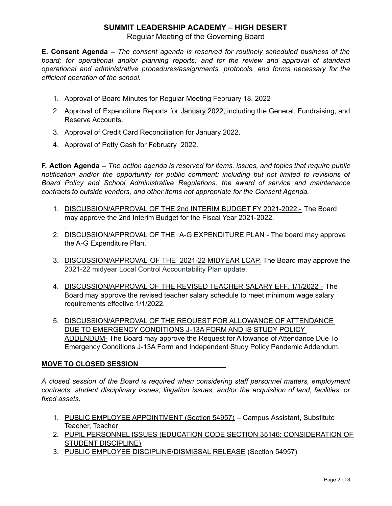# **SUMMIT LEADERSHIP ACADEMY – HIGH DESERT**

Regular Meeting of the Governing Board

**E. Consent Agenda –** *The consent agenda is reserved for routinely scheduled business of the board; for operational and/or planning reports; and for the review and approval of standard operational and administrative procedures/assignments, protocols, and forms necessary for the efficient operation of the school.*

- 1. Approval of Board Minutes for Regular Meeting February 18, 2022
- 2. Approval of Expenditure Reports for January 2022, including the General, Fundraising, and Reserve Accounts.
- 3. Approval of Credit Card Reconciliation for January 2022.
- 4. Approval of Petty Cash for February 2022.

**F. Action Agenda –** *The action agenda is reserved for items, issues, and topics that require public notification and/or the opportunity for public comment: including but not limited to revisions of Board Policy and School Administrative Regulations, the award of service and maintenance contracts to outside vendors, and other items not appropriate for the Consent Agenda.*

- 1. DISCUSSION/APPROVAL OF THE 2nd INTERIM BUDGET FY 2021-2022.- The Board may approve the 2nd Interim Budget for the Fiscal Year 2021-2022.
- 2. DISCUSSION/APPROVAL OF THE A-G EXPENDITURE PLAN The board may approve the A-G Expenditure Plan.
- 3. DISCUSSION/APPROVAL OF THE 2021-22 MIDYEAR LCAP. The Board may approve the 2021-22 midyear Local Control Accountability Plan update.
- 4. DISCUSSION/APPROVAL OF THE REVISED TEACHER SALARY EFF. 1/1/2022 The Board may approve the revised teacher salary schedule to meet minimum wage salary requirements effective 1/1/2022.
- 5. DISCUSSION/APPROVAL OF THE REQUEST FOR ALLOWANCE OF ATTENDANCE DUE TO EMERGENCY CONDITIONS J-13A FORM AND IS STUDY POLICY ADDENDUM- The Board may approve the Request for Allowance of Attendance Due To Emergency Conditions J-13A Form and Independent Study Policy Pandemic Addendum.

### **MOVE TO CLOSED SESSION**

.

*A closed session of the Board is required when considering staff personnel matters, employment contracts, student disciplinary issues, litigation issues, and/or the acquisition of land, facilities, or fixed assets.*

- 1. PUBLIC EMPLOYEE APPOINTMENT (Section 54957) Campus Assistant, Substitute Teacher, Teacher
- 2. PUPIL PERSONNEL ISSUES (EDUCATION CODE SECTION 35146: CONSIDERATION OF STUDENT DISCIPLINE)
- 3. PUBLIC EMPLOYEE DISCIPLINE/DISMISSAL RELEASE (Section 54957)